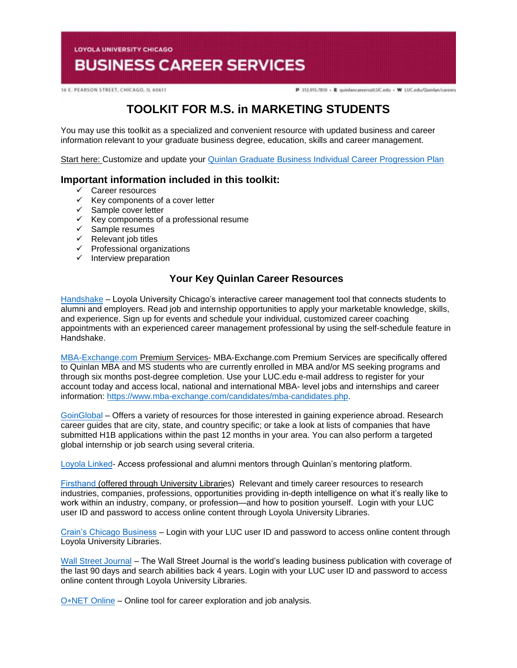**LOYOLA UNIVERSITY CHICAGO** 

# **BUSINESS CAREER SERVICES**

16 E. PEARSON STREET, CHICAGO, IL 60611

P 312.915.7810 - E quinlancareers@LUC.edu - W LUC.edu/Quinlan/careers

# **TOOLKIT FOR M.S. in MARKETING STUDENTS**

You may use this toolkit as a specialized and convenient resource with updated business and career information relevant to your graduate business degree, education, skills and career management.

Start here: Customize and update your **Quinlan Graduate Business Individual Career Progression Plan** 

## **Important information included in this toolkit:**

- $\checkmark$  Career resources
- $\checkmark$  Key components of a cover letter
- $\checkmark$  Sample cover letter
- $\checkmark$  Key components of a professional resume
- $\checkmark$  Sample resumes
- $\checkmark$  Relevant job titles
- $\checkmark$  Professional organizations
- $\checkmark$  Interview preparation

# **Your Key Quinlan Career Resources**

[Handshake](https://luc.joinhandshake.com/login) – Loyola University Chicago's interactive career management tool that connects students to alumni and employers. Read job and internship opportunities to apply your marketable knowledge, skills, and experience. Sign up for events and schedule your individual, customized career coaching appointments with an experienced career management professional by using the self-schedule feature in Handshake.

[MBA-Exchange.com P](https://www.luc.edu/quinlan/careers/studentservices/job-search/)remium Services- MBA-Exchange.com Premium Services are specifically offered to Quinlan MBA and MS students who are currently enrolled in MBA and/or MS seeking programs and through six months post-degree completion. Use your LUC.edu e-mail address to register for your account today and access local, national and international MBA- level jobs and internships and career information: [https://www.mba-exchange.com/candidates/mba-candidates.php.](http://email.mail.joinhandshake.com/c/eJxFkN1uhCAQhZ9G75YgIOIFFzaNL9AHMAjTlV1-jGDs4xfttk3mZr6Tc2ZyjBRCz6K2kmCCMSe84W3bYNSgQQyUF4C7caBvTVcx7JV16BFtWFQwaVFPQDr6epGfDCgHMxPWEo2V6ATue2hAi45RwVnt5JLzmio6VGQscxwH8rO6wZcuWfcrp2Bdcq1RGVJZTv0foHVZKzq6uFX0nVWE79lPKe6bhgK8Smk634PtJXkwdvdFghO_oI4hQ8iFcix69hujlV-VvYfC92CnrLY7ZDDTZU31Jh8JnEulAbdrBGavs-wZvn3oJUZX_7UxXW9crska-XPjGw06c3I?lor=5&utm_source=mass_mailer&utm_medium=email&utm_content=608944&utm_campaign=uni_targeted_emails)

[GoinGlobal](https://online.goinglobal.com/) – Offers a variety of resources for those interested in gaining experience abroad. Research career guides that are city, state, and country specific; or take a look at lists of companies that have submitted H1B applications within the past 12 months in your area. You can also perform a targeted global internship or job search using several criteria.

[Loyola](https://mentors.luc.edu/) Linked- Access professional and alumni mentors through Quinlan's mentoring platform.

[Firsthand](https://login.flagship.luc.edu/login?qurl=https%3a%2f%2faccess.vault.com%2fcareer-insider-login.aspx%3faid%3d256866) (offered through University Libraries) Relevant and timely career resources to research industries, companies, professions, opportunities providing in-depth intelligence on what it's really like to work within an industry, company, or profession—and how to position yourself. Login with your LUC user ID and password to access online content through Loyola University Libraries.

[Crain's Chicago Business](https://loyola-primo.hosted.exlibrisgroup.com/primo-explore/fulldisplay?docid=01LUC_ALMA2180212020002506&vid=01LUC&search_scope=Library_Collections&tab=jsearch_slot&lang=en_US&context=L) – Login with your LUC user ID and password to access online content through Loyola University Libraries.

[Wall Street Journal](http://libraries.luc.edu/databases/database/858) – The Wall Street Journal is the world's leading business publication with coverage of the last 90 days and search abilities back 4 years. Login with your LUC user ID and password to access online content through Loyola University Libraries.

O∗[NET Online](https://www.onetonline.org/) – Online tool for career exploration and job analysis.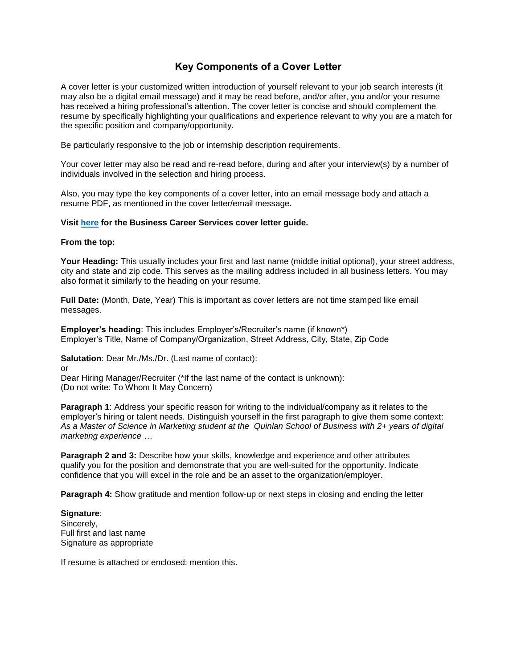# **Key Components of a Cover Letter**

A cover letter is your customized written introduction of yourself relevant to your job search interests (it may also be a digital email message) and it may be read before, and/or after, you and/or your resume has received a hiring professional's attention. The cover letter is concise and should complement the resume by specifically highlighting your qualifications and experience relevant to why you are a match for the specific position and company/opportunity.

Be particularly responsive to the job or internship description requirements.

Your cover letter may also be read and re-read before, during and after your interview(s) by a number of individuals involved in the selection and hiring process.

Also, you may type the key components of a cover letter, into an email message body and attach a resume PDF, as mentioned in the cover letter/email message.

#### **Visit [here](https://www.luc.edu/media/lucedu/quinlan-businesscareerservices/Cover%20Letter%20Guidelines.pdf) for the Business Career Services cover letter guide.**

#### **From the top:**

**Your Heading:** This usually includes your first and last name (middle initial optional), your street address, city and state and zip code. This serves as the mailing address included in all business letters. You may also format it similarly to the heading on your resume.

**Full Date:** (Month, Date, Year) This is important as cover letters are not time stamped like email messages.

**Employer's heading**: This includes Employer's/Recruiter's name (if known\*) Employer's Title, Name of Company/Organization, Street Address, City, State, Zip Code

**Salutation**: Dear Mr./Ms./Dr. (Last name of contact):

or

Dear Hiring Manager/Recruiter (\*If the last name of the contact is unknown): (Do not write: To Whom It May Concern)

**Paragraph 1:** Address your specific reason for writing to the individual/company as it relates to the employer's hiring or talent needs. Distinguish yourself in the first paragraph to give them some context: *As a Master of Science in Marketing student at the Quinlan School of Business with 2+ years of digital marketing experience …*

**Paragraph 2 and 3:** Describe how your skills, knowledge and experience and other attributes qualify you for the position and demonstrate that you are well-suited for the opportunity. Indicate confidence that you will excel in the role and be an asset to the organization/employer.

**Paragraph 4:** Show gratitude and mention follow-up or next steps in closing and ending the letter

**Signature**: Sincerely, Full first and last name Signature as appropriate

If resume is attached or enclosed: mention this.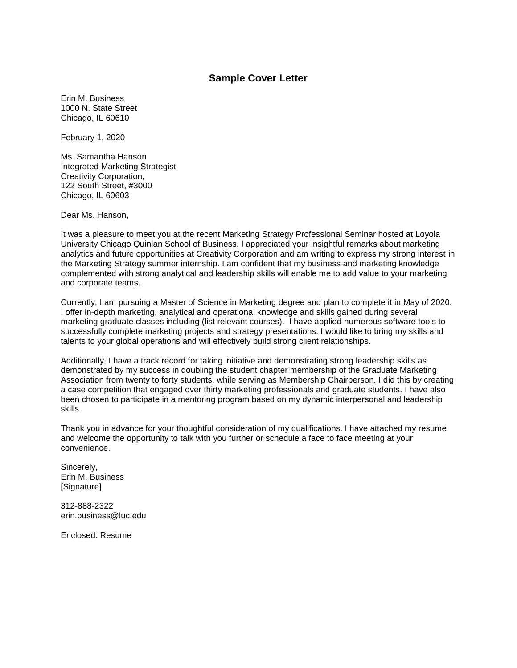### **Sample Cover Letter**

Erin M. Business 1000 N. State Street Chicago, IL 60610

February 1, 2020

Ms. Samantha Hanson Integrated Marketing Strategist Creativity Corporation, 122 South Street, #3000 Chicago, IL 60603

Dear Ms. Hanson,

It was a pleasure to meet you at the recent Marketing Strategy Professional Seminar hosted at Loyola University Chicago Quinlan School of Business. I appreciated your insightful remarks about marketing analytics and future opportunities at Creativity Corporation and am writing to express my strong interest in the Marketing Strategy summer internship. I am confident that my business and marketing knowledge complemented with strong analytical and leadership skills will enable me to add value to your marketing and corporate teams.

Currently, I am pursuing a Master of Science in Marketing degree and plan to complete it in May of 2020. I offer in-depth marketing, analytical and operational knowledge and skills gained during several marketing graduate classes including (list relevant courses). I have applied numerous software tools to successfully complete marketing projects and strategy presentations. I would like to bring my skills and talents to your global operations and will effectively build strong client relationships.

Additionally, I have a track record for taking initiative and demonstrating strong leadership skills as demonstrated by my success in doubling the student chapter membership of the Graduate Marketing Association from twenty to forty students, while serving as Membership Chairperson. I did this by creating a case competition that engaged over thirty marketing professionals and graduate students. I have also been chosen to participate in a mentoring program based on my dynamic interpersonal and leadership skills.

Thank you in advance for your thoughtful consideration of my qualifications. I have attached my resume and welcome the opportunity to talk with you further or schedule a face to face meeting at your convenience.

Sincerely, Erin M. Business [Signature]

312-888-2322 erin.business@luc.edu

Enclosed: Resume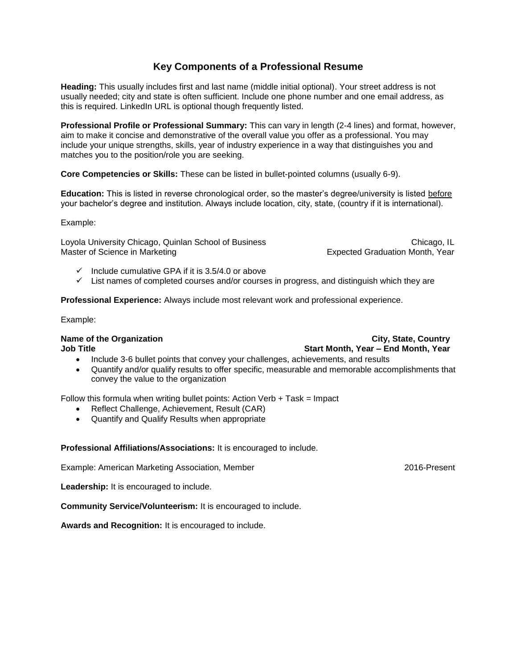# **Key Components of a Professional Resume**

**Heading:** This usually includes first and last name (middle initial optional). Your street address is not usually needed; city and state is often sufficient. Include one phone number and one email address, as this is required. LinkedIn URL is optional though frequently listed.

**Professional Profile or Professional Summary:** This can vary in length (2-4 lines) and format, however, aim to make it concise and demonstrative of the overall value you offer as a professional. You may include your unique strengths, skills, year of industry experience in a way that distinguishes you and matches you to the position/role you are seeking.

**Core Competencies or Skills:** These can be listed in bullet-pointed columns (usually 6-9).

**Education:** This is listed in reverse chronological order, so the master's degree/university is listed before your bachelor's degree and institution. Always include location, city, state, (country if it is international).

Example:

Loyola University Chicago, Quinlan School of Business Chicago, Chicago, IL Master of Science in Marketing Expected Graduation Month, Year

- $\checkmark$  Include cumulative GPA if it is 3.5/4.0 or above
- $\checkmark$  List names of completed courses and/or courses in progress, and distinguish which they are

**Professional Experience:** Always include most relevant work and professional experience.

Example:

#### **Name of the Organization City, State, Country City, State, Country Job Title Start Month, Year – End Month, Year**

- Include 3-6 bullet points that convey your challenges, achievements, and results
- Quantify and/or qualify results to offer specific, measurable and memorable accomplishments that convey the value to the organization

Follow this formula when writing bullet points: Action Verb  $+$  Task = Impact

- Reflect Challenge, Achievement, Result (CAR)
- Quantify and Qualify Results when appropriate

**Professional Affiliations/Associations:** It is encouraged to include.

Example: American Marketing Association, Member 2016-Present

Leadership: It is encouraged to include.

**Community Service/Volunteerism:** It is encouraged to include.

**Awards and Recognition:** It is encouraged to include.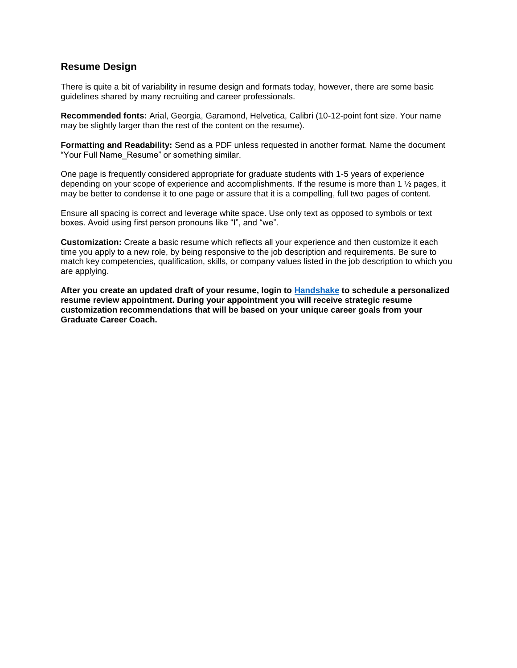# **Resume Design**

There is quite a bit of variability in resume design and formats today, however, there are some basic guidelines shared by many recruiting and career professionals.

**Recommended fonts:** Arial, Georgia, Garamond, Helvetica, Calibri (10-12-point font size. Your name may be slightly larger than the rest of the content on the resume).

**Formatting and Readability:** Send as a PDF unless requested in another format. Name the document "Your Full Name\_Resume" or something similar.

One page is frequently considered appropriate for graduate students with 1-5 years of experience depending on your scope of experience and accomplishments. If the resume is more than 1 ½ pages, it may be better to condense it to one page or assure that it is a compelling, full two pages of content.

Ensure all spacing is correct and leverage white space. Use only text as opposed to symbols or text boxes. Avoid using first person pronouns like "I", and "we".

**Customization:** Create a basic resume which reflects all your experience and then customize it each time you apply to a new role, by being responsive to the job description and requirements. Be sure to match key competencies, qualification, skills, or company values listed in the job description to which you are applying.

**After you create an updated draft of your resume, login to [Handshake](https://luc.joinhandshake.com/) to schedule a personalized resume review appointment. During your appointment you will receive strategic resume customization recommendations that will be based on your unique career goals from your Graduate Career Coach.**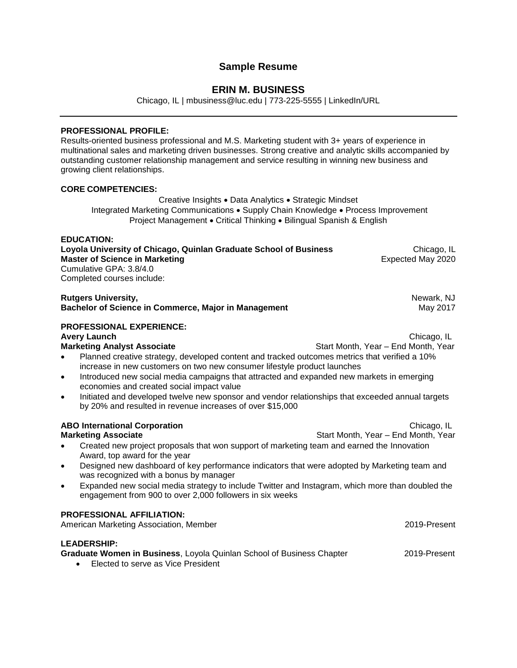# **Sample Resume**

# **ERIN M. BUSINESS**

Chicago, IL | mbusiness@luc.edu | 773-225-5555 | LinkedIn/URL

#### **PROFESSIONAL PROFILE:**

Results-oriented business professional and M.S. Marketing student with 3+ years of experience in multinational sales and marketing driven businesses. Strong creative and analytic skills accompanied by outstanding customer relationship management and service resulting in winning new business and growing client relationships.

#### **CORE COMPETENCIES:**

Creative Insights . Data Analytics . Strategic Mindset Integrated Marketing Communications . Supply Chain Knowledge . Process Improvement Project Management • Critical Thinking • Bilingual Spanish & English

#### **EDUCATION:**

**Loyola University of Chicago, Quinlan Graduate School of Business Chicago, IL Chicago, IL Master of Science in Marketing Expected May 2020** Cumulative GPA: 3.8/4.0 Completed courses include:

**Rutgers University, Newark, Newark, Newark, Newark, Newark, Newark, Newark, Newark, Newark, Newark, Newark, Newark, Newark, Newark, Newark, Newark, Newark, Newark, Newark, Newark, Newark, Newark, Newark, Newark, Newark, N Bachelor of Science in Commerce, Major in Management** Management May 2017

# **PROFESSIONAL EXPERIENCE:**

**Avery Launch** Chicago, IL **Marketing Analyst Associate** Start Month, Year – End Month, Year – End Month, Year

- Planned creative strategy, developed content and tracked outcomes metrics that verified a 10% increase in new customers on two new consumer lifestyle product launches
- Introduced new social media campaigns that attracted and expanded new markets in emerging economies and created social impact value
- Initiated and developed twelve new sponsor and vendor relationships that exceeded annual targets by 20% and resulted in revenue increases of over \$15,000

#### **ABO International Corporation** Chicago, IL

- Created new project proposals that won support of marketing team and earned the Innovation Award, top award for the year
- Designed new dashboard of key performance indicators that were adopted by Marketing team and was recognized with a bonus by manager
- Expanded new social media strategy to include Twitter and Instagram, which more than doubled the engagement from 900 to over 2,000 followers in six weeks

#### **PROFESSIONAL AFFILIATION:**

American Marketing Association, Member 2019-Present

### **LEADERSHIP:**

**Graduate Women in Business**, Loyola Quinlan School of Business Chapter 2019-Present

**Elected to serve as Vice President** 

**Marketing Associate** Start Month, Year – End Month, Year – End Month, Year – End Month, Year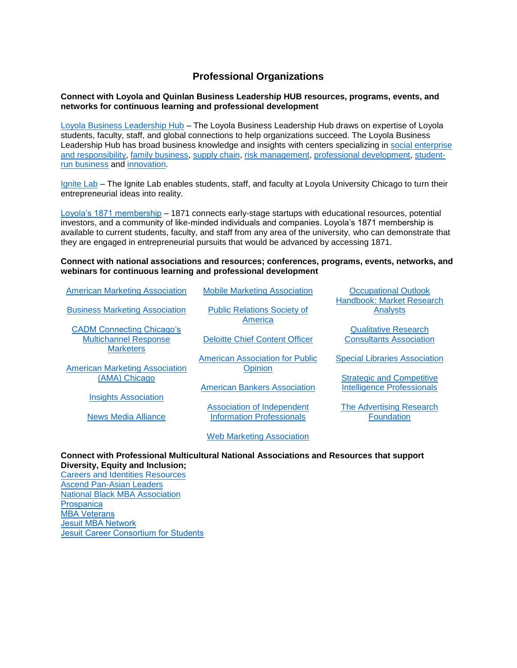# **Professional Organizations**

#### **Connect with Loyola and Quinlan Business Leadership HUB resources, programs, events, and networks for continuous learning and professional development**

[Loyola Business Leadership Hub](https://www.luc.edu/leadershiphub/) – The Loyola Business Leadership Hub draws on expertise of Loyola students, faculty, staff, and global connections to help organizations succeed. The Loyola Business Leadership Hub has broad business knowledge and insights with centers specializing in [social enterprise](https://www.luc.edu/baumhartcenter/)  [and responsibility,](https://www.luc.edu/baumhartcenter/) [family business,](https://www.luc.edu/leadershiphub/centers/familybusiness/) [supply chain,](https://www.luc.edu/leadershiphub/centers/supplyandvaluechain/) [risk management,](https://www.luc.edu/leadershiphub/centers/riskmanagement/) [professional development,](https://www.luc.edu/executiveeducation/) [student](https://www.luc.edu/leadershiphub/centers/loyolalimited/)[run business](https://www.luc.edu/leadershiphub/centers/loyolalimited/) and [innovation.](https://www.luc.edu/leadershiphub/centers/innovation/)

[Ignite Lab](https://www.ignitelab.org/) – The Ignite Lab enables students, staff, and faculty at Loyola University Chicago to turn their entrepreneurial ideas into reality.

[Loyola's 1871 membership](http://stignitelab.org/access-to-1871-1) – 1871 connects early-stage startups with educational resources, potential investors, and a community of like-minded individuals and companies. Loyola's 1871 membership is available to current students, faculty, and staff from any area of the university, who can demonstrate that they are engaged in entrepreneurial pursuits that would be advanced by accessing 1871.

#### **Connect with national associations and resources; conferences, programs, events, networks, and webinars for continuous learning and professional development**

| <b>American Marketing Association</b>                                                | <b>Mobile Marketing Association</b>               | <b>Occupational Outlook</b><br>Handbook: Market Research              |
|--------------------------------------------------------------------------------------|---------------------------------------------------|-----------------------------------------------------------------------|
| <b>Business Marketing Association</b>                                                | <b>Public Relations Society of</b><br>America     | Analysts                                                              |
| <b>CADM Connecting Chicago's</b><br><b>Multichannel Response</b><br><b>Marketers</b> | <b>Deloitte Chief Content Officer</b>             | <b>Qualitative Research</b><br><b>Consultants Association</b>         |
| <b>American Marketing Association</b>                                                | <b>American Association for Public</b><br>Opinion | <b>Special Libraries Association</b>                                  |
| (AMA) Chicago                                                                        | <b>American Bankers Association</b>               | <b>Strategic and Competitive</b><br><b>Intelligence Professionals</b> |
| <b>Insights Association</b>                                                          | Association of Independent                        | <b>The Advertising Research</b>                                       |
| News Media Alliance                                                                  | <b>Information Professionals</b>                  | <b>Foundation</b>                                                     |
|                                                                                      | <b>Web Marketing Association</b>                  |                                                                       |

#### **Connect with Professional Multicultural National Associations and Resources that support Diversity, Equity and Inclusion;**

[Careers and Identities Resources](https://www.luc.edu/career/resources-diversity.shtml) [Ascend Pan-Asian Leaders](https://www.ascendleadership.org/) [National Black MBA Association](https://nbmbaa.org/) **[Prospanica](https://www.prospanica.org/)** [MBA Veterans](https://mbaveterans.com/students/) [Jesuit MBA Network](https://www.luc.edu/quinlan/mba/jesuitmbanetwork/)  [Jesuit Career Consortium for Students](http://www.ajcunet.edu/career-service-leaders)